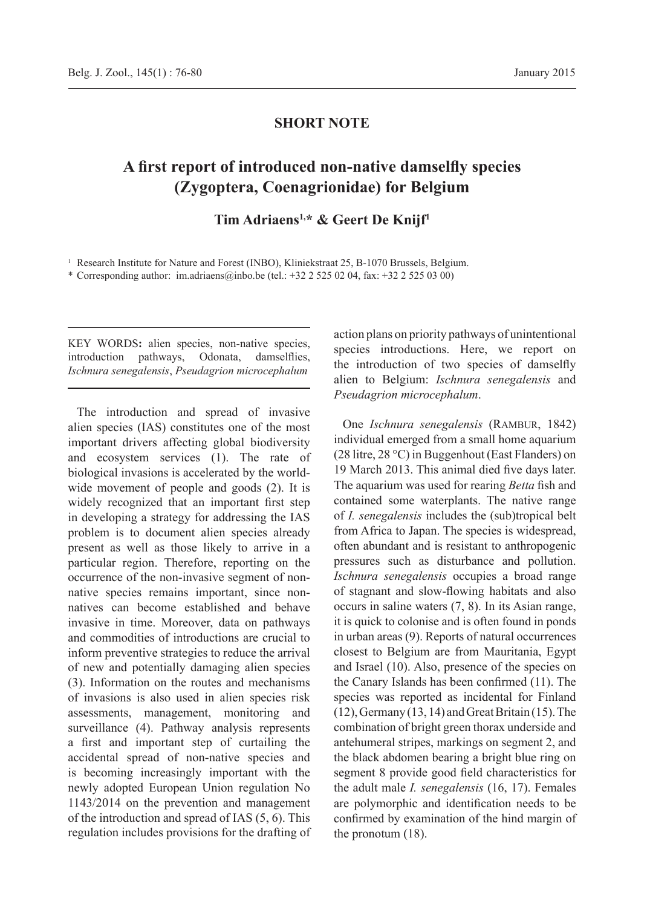### **SHORT NOTE**

# **A first report of introduced non-native damselfly species (Zygoptera, Coenagrionidae) for Belgium**

## **Tim Adriaens1,\* & Geert De Knijf<sup>1</sup>**

<sup>1</sup> Research Institute for Nature and Forest (INBO), Kliniekstraat 25, B-1070 Brussels, Belgium.

\* Corresponding author: im.adriaens@inbo.be (tel.: +32 2 525 02 04, fax: +32 2 525 03 00)

KEY WORDS**:** alien species, non-native species, introduction pathways, Odonata, damselflies, *Ischnura senegalensis*, *Pseudagrion microcephalum*

The introduction and spread of invasive alien species (IAS) constitutes one of the most important drivers affecting global biodiversity and ecosystem services (1). The rate of biological invasions is accelerated by the worldwide movement of people and goods (2). It is widely recognized that an important first step in developing a strategy for addressing the IAS problem is to document alien species already present as well as those likely to arrive in a particular region. Therefore, reporting on the occurrence of the non-invasive segment of nonnative species remains important, since nonnatives can become established and behave invasive in time. Moreover, data on pathways and commodities of introductions are crucial to inform preventive strategies to reduce the arrival of new and potentially damaging alien species (3). Information on the routes and mechanisms of invasions is also used in alien species risk assessments, management, monitoring and surveillance (4). Pathway analysis represents a first and important step of curtailing the accidental spread of non-native species and is becoming increasingly important with the newly adopted European Union regulation No 1143/2014 on the prevention and management of the introduction and spread of IAS (5, 6). This regulation includes provisions for the drafting of action plans on priority pathways of unintentional species introductions. Here, we report on the introduction of two species of damselfly alien to Belgium: *Ischnura senegalensis* and *Pseudagrion microcephalum*.

One *Ischnura senegalensis* (Rambur, 1842) individual emerged from a small home aquarium (28 litre, 28 °C) in Buggenhout (East Flanders) on 19 March 2013. This animal died five days later. The aquarium was used for rearing *Betta* fish and contained some waterplants. The native range of *I. senegalensis* includes the (sub)tropical belt from Africa to Japan. The species is widespread, often abundant and is resistant to anthropogenic pressures such as disturbance and pollution. *Ischnura senegalensis* occupies a broad range of stagnant and slow-flowing habitats and also occurs in saline waters (7, 8). In its Asian range, it is quick to colonise and is often found in ponds in urban areas (9). Reports of natural occurrences closest to Belgium are from Mauritania, Egypt and Israel (10). Also, presence of the species on the Canary Islands has been confirmed (11). The species was reported as incidental for Finland (12), Germany (13, 14) and Great Britain (15). The combination of bright green thorax underside and antehumeral stripes, markings on segment 2, and the black abdomen bearing a bright blue ring on segment 8 provide good field characteristics for the adult male *I. senegalensis* (16, 17). Females are polymorphic and identification needs to be confirmed by examination of the hind margin of the pronotum (18).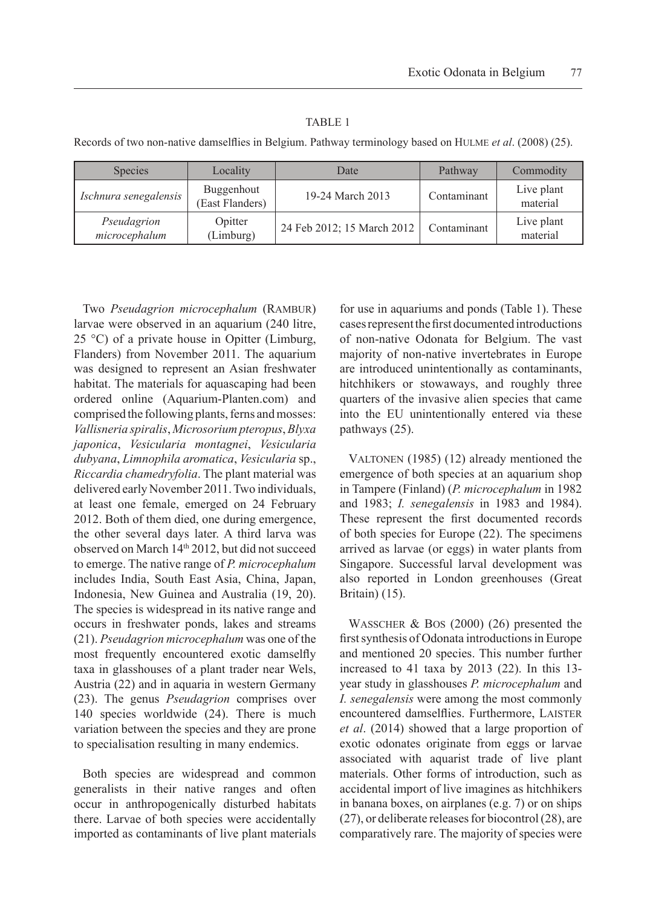#### TABLE 1

Records of two non-native damselflies in Belgium. Pathway terminology based on Hulme *et al*. (2008) (25).

| <b>Species</b>               | Locality                      | Date                       | Pathway     | Commodity              |
|------------------------------|-------------------------------|----------------------------|-------------|------------------------|
| Ischnura senegalensis        | Buggenhout<br>(East Flanders) | 19-24 March 2013           | Contaminant | Live plant<br>material |
| Pseudagrion<br>microcephalum | Opitter<br>(Limburg)          | 24 Feb 2012; 15 March 2012 | Contaminant | Live plant<br>material |

Two Pseudagrion microcephalum (RAMBUR) larvae were observed in an aquarium (240 litre, 25 °C) of a private house in Opitter (Limburg, Flanders) from November 2011. The aquarium was designed to represent an Asian freshwater habitat. The materials for aquascaping had been ordered online (Aquarium-Planten.com) and comprised the following plants, ferns and mosses: *Vallisneria spiralis*, *Microsorium pteropus*, *Blyxa japonica*, *Vesicularia montagnei*, *Vesicularia dubyana*, *Limnophila aromatica*, *Vesicularia* sp., *Riccardia chamedryfolia*. The plant material was delivered early November 2011. Two individuals, at least one female, emerged on 24 February 2012. Both of them died, one during emergence, the other several days later. A third larva was observed on March 14<sup>th</sup> 2012, but did not succeed to emerge. The native range of *P. microcephalum*  includes India, South East Asia, China, Japan, Indonesia, New Guinea and Australia (19, 20). The species is widespread in its native range and occurs in freshwater ponds, lakes and streams (21). *Pseudagrion microcephalum* was one of the most frequently encountered exotic damselfly taxa in glasshouses of a plant trader near Wels, Austria (22) and in aquaria in western Germany (23). The genus *Pseudagrion* comprises over 140 species worldwide (24). There is much variation between the species and they are prone to specialisation resulting in many endemics.

Both species are widespread and common generalists in their native ranges and often occur in anthropogenically disturbed habitats there. Larvae of both species were accidentally imported as contaminants of live plant materials

for use in aquariums and ponds (Table 1). These cases represent the first documented introductions of non-native Odonata for Belgium. The vast majority of non-native invertebrates in Europe are introduced unintentionally as contaminants, hitchhikers or stowaways, and roughly three quarters of the invasive alien species that came into the EU unintentionally entered via these pathways (25).

VALTONEN (1985) (12) already mentioned the emergence of both species at an aquarium shop in Tampere (Finland) (*P. microcephalum* in 1982 and 1983; *I. senegalensis* in 1983 and 1984). These represent the first documented records of both species for Europe (22). The specimens arrived as larvae (or eggs) in water plants from Singapore. Successful larval development was also reported in London greenhouses (Great Britain) (15).

Wasscher & Bos (2000) (26) presented the first synthesis of Odonata introductions in Europe and mentioned 20 species. This number further increased to 41 taxa by 2013 (22). In this 13 year study in glasshouses *P. microcephalum* and *I. senegalensis* were among the most commonly encountered damselflies. Furthermore, LAISTER *et al*. (2014) showed that a large proportion of exotic odonates originate from eggs or larvae associated with aquarist trade of live plant materials. Other forms of introduction, such as accidental import of live imagines as hitchhikers in banana boxes, on airplanes (e.g. 7) or on ships (27), or deliberate releases for biocontrol (28), are comparatively rare. The majority of species were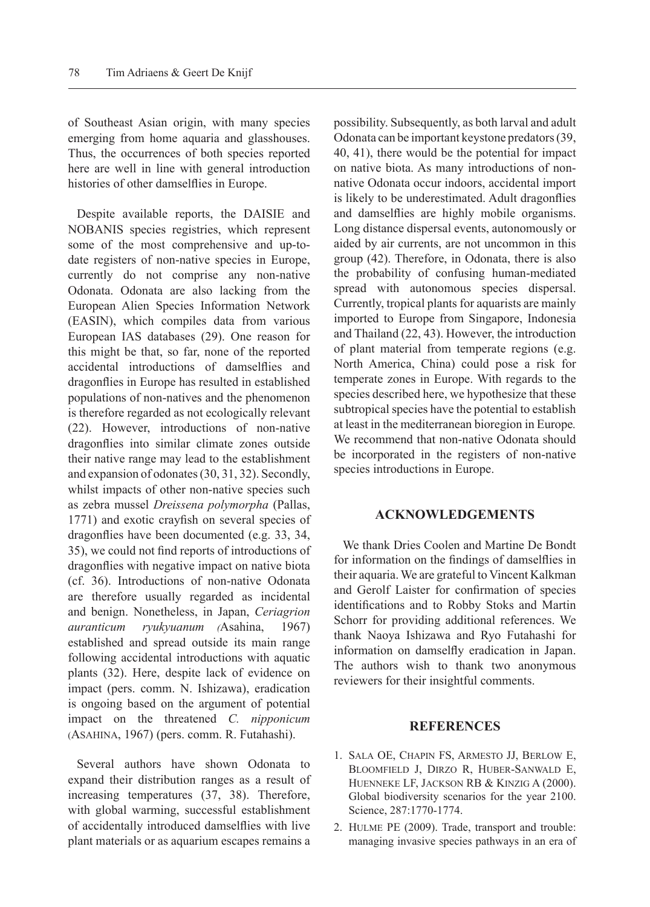of Southeast Asian origin, with many species emerging from home aquaria and glasshouses. Thus, the occurrences of both species reported here are well in line with general introduction histories of other damselflies in Europe.

Despite available reports, the DAISIE and NOBANIS species registries, which represent some of the most comprehensive and up-todate registers of non-native species in Europe, currently do not comprise any non-native Odonata. Odonata are also lacking from the European Alien Species Information Network (EASIN), which compiles data from various European IAS databases (29). One reason for this might be that, so far, none of the reported accidental introductions of damselflies and dragonflies in Europe has resulted in established populations of non-natives and the phenomenon is therefore regarded as not ecologically relevant (22). However, introductions of non-native dragonflies into similar climate zones outside their native range may lead to the establishment and expansion of odonates (30, 31, 32). Secondly, whilst impacts of other non-native species such as zebra mussel *Dreissena polymorpha* (Pallas, 1771) and exotic crayfish on several species of dragonflies have been documented (e.g. 33, 34, 35), we could not find reports of introductions of dragonflies with negative impact on native biota (cf. 36). Introductions of non-native Odonata are therefore usually regarded as incidental and benign. Nonetheless, in Japan, *Ceriagrion auranticum ryukyuanum (*Asahina, 1967) established and spread outside its main range following accidental introductions with aquatic plants (32). Here, despite lack of evidence on impact (pers. comm. N. Ishizawa), eradication is ongoing based on the argument of potential impact on the threatened *C. nipponicum* (Asahina, 1967) (pers. comm. R. Futahashi).

Several authors have shown Odonata to expand their distribution ranges as a result of increasing temperatures (37, 38). Therefore, with global warming, successful establishment of accidentally introduced damselflies with live plant materials or as aquarium escapes remains a possibility. Subsequently, as both larval and adult Odonata can be important keystone predators (39, 40, 41), there would be the potential for impact on native biota. As many introductions of nonnative Odonata occur indoors, accidental import is likely to be underestimated. Adult dragonflies and damselflies are highly mobile organisms. Long distance dispersal events, autonomously or aided by air currents, are not uncommon in this group (42). Therefore, in Odonata, there is also the probability of confusing human-mediated spread with autonomous species dispersal. Currently, tropical plants for aquarists are mainly imported to Europe from Singapore, Indonesia and Thailand (22, 43). However, the introduction of plant material from temperate regions (e.g. North America, China) could pose a risk for temperate zones in Europe. With regards to the species described here, we hypothesize that these subtropical species have the potential to establish at least in the mediterranean bioregion in Europe*.* We recommend that non-native Odonata should be incorporated in the registers of non-native species introductions in Europe.

#### **Acknowledgements**

We thank Dries Coolen and Martine De Bondt for information on the findings of damselflies in their aquaria. We are grateful to Vincent Kalkman and Gerolf Laister for confirmation of species identifications and to Robby Stoks and Martin Schorr for providing additional references. We thank Naoya Ishizawa and Ryo Futahashi for information on damselfly eradication in Japan. The authors wish to thank two anonymous reviewers for their insightful comments.

#### **References**

- 1. Sala OE, Chapin FS, Armesto JJ, Berlow E, Bloomfield J, Dirzo R, Huber-Sanwald E, Huenneke LF, Jackson RB & Kinzig A (2000). Global biodiversity scenarios for the year 2100. Science, 287:1770-1774.
- 2. Hulme PE (2009). Trade, transport and trouble: managing invasive species pathways in an era of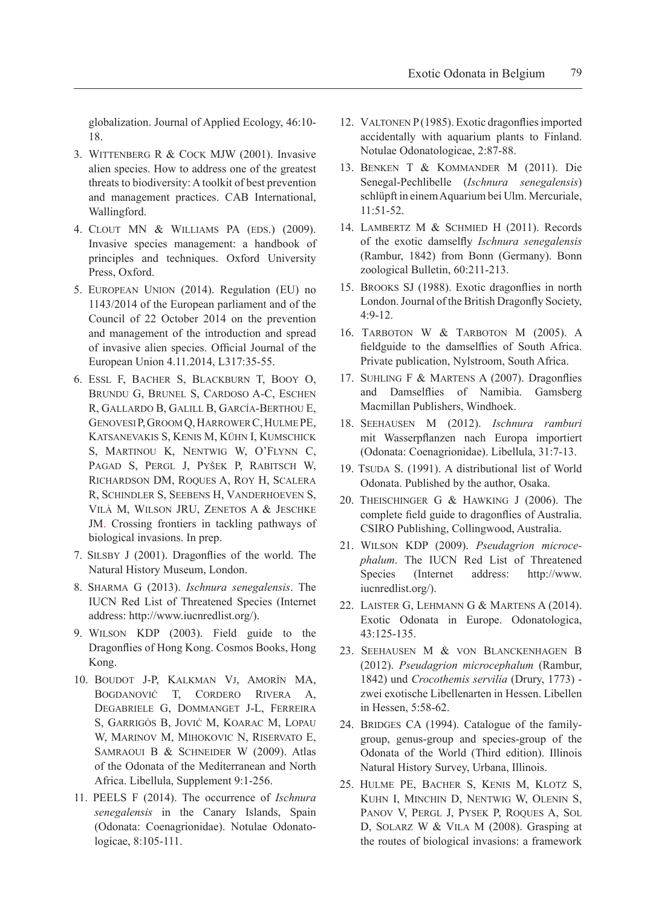globalization. Journal of Applied Ecology, 46:10- 18.

- 3. Wittenberg R & Cock MJW (2001). Invasive alien species. How to address one of the greatest threats to biodiversity: A toolkit of best prevention and management practices. CAB International, Wallingford.
- 4. Clout MN & Williams PA (eds.) (2009). Invasive species management: a handbook of principles and techniques. Oxford University Press, Oxford.
- 5. European Union (2014). Regulation (EU) no 1143/2014 of the European parliament and of the Council of 22 October 2014 on the prevention and management of the introduction and spread of invasive alien species. Official Journal of the European Union 4.11.2014, L317:35-55.
- 6. Essl F, Bacher S, Blackburn T, Booy O, Brundu G, Brunel S, Cardoso A-C, Eschen R, Gallardo B, Galill B, García-Berthou E, GenovesiP, Groom Q, HarrowerC, Hulme PE, Katsanevakis S, Kenis M, Kühn I, Kumschick S, Martinou K, Nentwig W, O'Flynn C, PAGAD S, PERGL J, PYŠEK P, RABITSCH W, Richardson DM, Roques A, Roy H, Scalera R, Schindler S, Seebens H, Vanderhoeven S, Vilà M, Wilson JRU, Zenetos A & Jeschke JM. Crossing frontiers in tackling pathways of biological invasions. In prep.
- 7. Silsby J (2001). Dragonflies of the world. The Natural History Museum, London.
- 8. Sharma G (2013). *Ischnura senegalensis*. The IUCN Red List of Threatened Species (Internet address: http:/[/www.iucnredlist.org/](http://www.iucnredlist.org/)).
- 9. Wilson KDP (2003). Field guide to the Dragonflies of Hong Kong. Cosmos Books, Hong Kong.
- 10. Boudot J-P, Kalkman Vj, Amorín MA, Bogdanović T, Cordero Rivera A, Degabriele G, Dommanget J-L, Ferreira S, Garrigós B, Jović M, Koarac M, Lopau W, Marinov M, Mihokovic N, Riservato E, SAMRAOUI B & SCHNEIDER W (2009). Atlas of the Odonata of the Mediterranean and North Africa. Libellula, Supplement 9:1-256.
- 11. PEELS F (2014). The occurrence of *Ischnura senegalensis* in the Canary Islands, Spain (Odonata: Coenagrionidae). Notulae Odonatologicae, 8:105-111.
- 12. VALTONEN P (1985). Exotic dragonflies imported accidentally with aquarium plants to Finland. Notulae Odonatologicae, 2:87-88.
- 13. Benken T & Kommander M (2011). Die Senegal-Pechlibelle (*Ischnura senegalensis*) schlüpft in einem Aquarium bei Ulm. Mercuriale, 11:51-52.
- 14. Lambertz M & Schmied H (2011). Records of the exotic damselfly *Ischnura senegalensis* (Rambur, 1842) from Bonn (Germany). Bonn zoological Bulletin, 60:211-213.
- 15. Brooks SJ (1988). Exotic dragonflies in north London. Journal of the British Dragonfly Society, 4:9-12.
- 16. Tarboton W & Tarboton M (2005). A fieldguide to the damselflies of South Africa. Private publication, Nylstroom, South Africa.
- 17. Suhling F & Martens A (2007). Dragonflies and Damselflies of Namibia. Gamsberg Macmillan Publishers, Windhoek.
- 18. Seehausen M (2012). *Ischnura ramburi*  mit Wasserpflanzen nach Europa importiert (Odonata: Coenagrionidae). Libellula, 31:7-13.
- 19. TSUDA S. (1991). A distributional list of World Odonata. Published by the author, Osaka.
- 20. Theischinger G & Hawking J (2006). The complete field guide to dragonflies of Australia. CSIRO Publishing, Collingwood, Australia.
- 21. Wilson KDP (2009). *Pseudagrion microcephalum*. The IUCN Red List of Threatened Species (Internet address: http://[www.](http://www.iucnredlist.org/) [iucnredlist.org](http://www.iucnredlist.org/)/).
- 22. Laister G, Lehmann G & Martens A (2014). Exotic Odonata in Europe. Odonatologica, 43:125-135.
- 23. Seehausen M & von Blanckenhagen B (2012). *Pseudagrion microcephalum* (Rambur, 1842) und *Crocothemis servilia* (Drury, 1773) zwei exotische Libellenarten in Hessen. Libellen in Hessen, 5:58-62.
- 24. BRIDGES CA (1994). Catalogue of the familygroup, genus-group and species-group of the Odonata of the World (Third edition). Illinois Natural History Survey, Urbana, Illinois.
- 25. Hulme PE, Bacher S, Kenis M, Klotz S, Kuhn I, Minchin D, Nentwig W, Olenin S, PANOV V, PERGL J, PYSEK P, ROQUES A, SOL D, Solarz W & Vila M (2008). Grasping at the routes of biological invasions: a framework